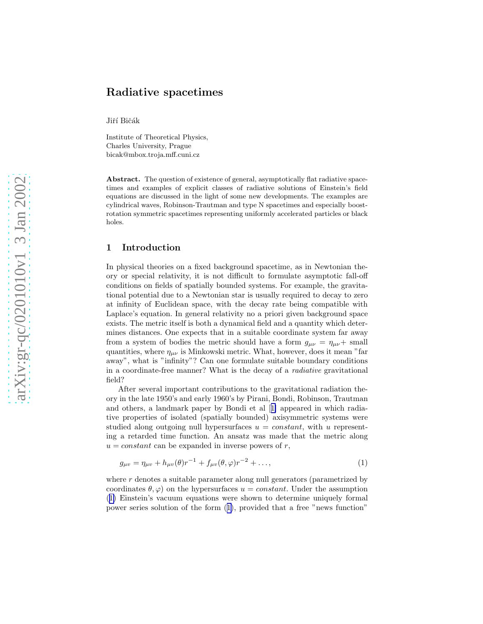# <span id="page-0-0"></span>Radiative spacetimes

Jiří Bičák

Institute of Theoretical Physics, Charles University, Prague bicak@mbox.troja.mff.cuni.cz

Abstract. The question of existence of general, asymptotically flat radiative spacetimes and examples of explicit classes of radiative solutions of Einstein's field equations are discussed in the light of some new developments. The examples are cylindrical waves, Robinson-Trautman and type N spacetimes and especially boostrotation symmetric spacetimes representing uniformly accelerated particles or black holes.

## 1 Introduction

In physical theories on a fixed background spacetime, as in Newtonian theory or special relativity, it is not difficult to formulate asymptotic fall-off conditions on fields of spatially bounded systems. For example, the gravitational potential due to a Newtonian star is usually required to decay to zero at infinity of Euclidean space, with the decay rate being compatible with Laplace's equation. In general relativity no a priori given background space exists. The metric itself is both a dynamical field and a quantity which determines distances. One expects that in a suitable coordinate system far away from a system of bodies the metric should have a form  $g_{\mu\nu} = \eta_{\mu\nu} + \text{small}$ quantities, where  $\eta_{\mu\nu}$  is Minkowski metric. What, however, does it mean "far away", what is "infinity"? Can one formulate suitable boundary conditions in a coordinate-free manner? What is the decay of a radiative gravitational field?

After several important contributions to the gravitational radiation theory in the late 1950's and early 1960's by Pirani, Bondi, Robinson, Trautman and others, a landmark paper by Bondi et al[[1\]](#page-10-0) appeared in which radiative properties of isolated (spatially bounded) axisymmetric systems were studied along outgoing null hypersurfaces  $u = constant$ , with u representing a retarded time function. An ansatz was made that the metric along  $u = constant$  can be expanded in inverse powers of r,

$$
g_{\mu\nu} = \eta_{\mu\nu} + h_{\mu\nu}(\theta)r^{-1} + f_{\mu\nu}(\theta,\varphi)r^{-2} + \dots,
$$
 (1)

where  $r$  denotes a suitable parameter along null generators (parametrized by coordinates  $\theta$ ,  $\varphi$ ) on the hypersurfaces  $u = constant$ . Under the assumption (1) Einstein's vacuum equations were shown to determine uniquely formal power series solution of the form (1), provided that a free "news function"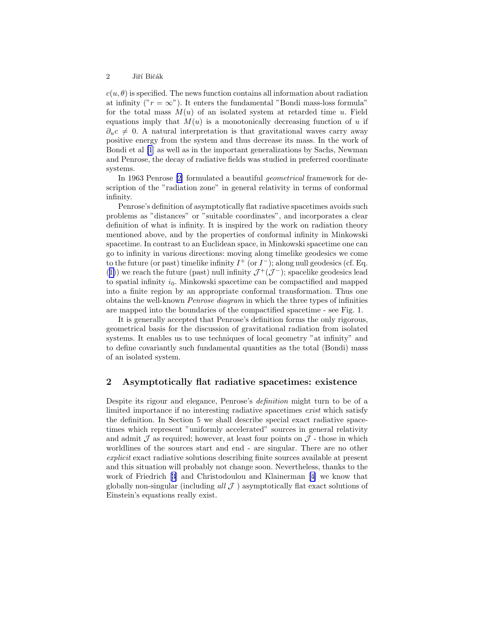$c(u, \theta)$  is specified. The news function contains all information about radiation at infinity (" $r = \infty$ "). It enters the fundamental "Bondi mass-loss formula" for the total mass  $M(u)$  of an isolated system at retarded time u. Field equations imply that  $M(u)$  is a monotonically decreasing function of u if  $\partial_u c \neq 0$ . A natural interpretation is that gravitational waves carry away positive energy from the system and thus decrease its mass. In the work of Bondi et al [\[1](#page-10-0)] as well as in the important generalizations by Sachs, Newman and Penrose, the decay of radiative fields was studied in preferred coordinate systems.

In 1963 Penrose [\[2](#page-11-0)] formulated a beautiful geometrical framework for description of the "radiation zone" in general relativity in terms of conformal infinity.

Penrose's definition of asymptotically flat radiative spacetimes avoids such problems as "distances" or "suitable coordinates", and incorporates a clear definition of what is infinity. It is inspired by the work on radiation theory mentioned above, and by the properties of conformal infinity in Minkowski spacetime. In contrast to an Euclidean space, in Minkowski spacetime one can go to infinity in various directions: moving along timelike geodesics we come to the future (or past) timelike infinity  $I^+$  (or  $I^-$ ); along null geodesics (cf. Eq. ([1\)](#page-0-0)) we reach the future (past) null infinity  $\mathcal{J}^+(\mathcal{J}^-)$ ; spacelike geodesics lead to spatial infinity  $i_0$ . Minkowski spacetime can be compactified and mapped into a finite region by an appropriate conformal transformation. Thus one obtains the well-known Penrose diagram in which the three types of infinities are mapped into the boundaries of the compactified spacetime - see Fig. 1.

It is generally accepted that Penrose's definition forms the only rigorous, geometrical basis for the discussion of gravitational radiation from isolated systems. It enables us to use techniques of local geometry "at infinity" and to define covariantly such fundamental quantities as the total (Bondi) mass of an isolated system.

### 2 Asymptotically flat radiative spacetimes: existence

Despite its rigour and elegance, Penrose's definition might turn to be of a limited importance if no interesting radiative spacetimes exist which satisfy the definition. In Section 5 we shall describe special exact radiative spacetimes which represent "uniformly accelerated" sources in general relativity and admit  $\mathcal J$  as required; however, at least four points on  $\mathcal J$  - those in which worldlines of the sources start and end - are singular. There are no other explicit exact radiative solutions describing finite sources available at present and this situation will probably not change soon. Nevertheless, thanks to the work of Friedrich[[3\]](#page-11-0) and Christodoulou and Klainerman[[4\]](#page-11-0) we know that globally non-singular (including all  $J$ ) asymptotically flat exact solutions of Einstein's equations really exist.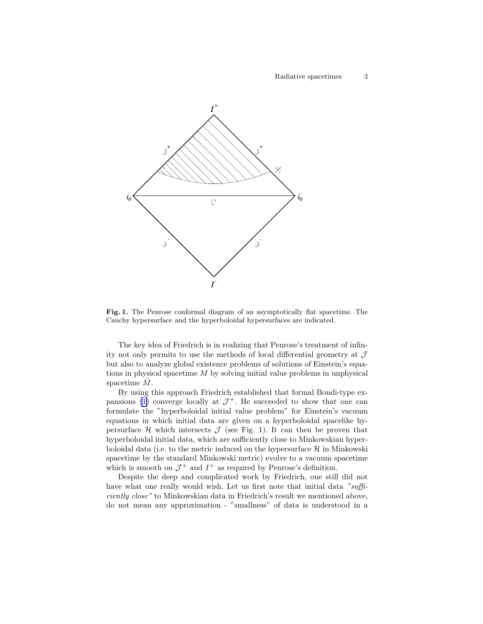

Fig. 1. The Penrose conformal diagram of an asymptotically flat spacetime. The Cauchy hypersurface and the hyperboloidal hypersurfaces are indicated.

The key idea of Friedrich is in realizing that Penrose's treatment of infinity not only permits to use the methods of local differential geometry at  $\mathcal J$ but also to analyze global existence problems of solutions of Einstein's equations in physical spacetime  $M$  by solving initial value problems in unphysical spacetime  $\tilde{M}$ .

By using this approach Friedrich established that formal Bondi-type ex-pansions [\(1\)](#page-0-0) converge locally at  $\mathcal{J}^+$ . He succeeded to show that one can formulate the "hyperboloidal initial value problem" for Einstein's vacuum equations in which initial data are given on a hyperboloidal spacelike hypersurface H which intersects  $\mathcal J$  (see Fig. 1). It can then be proven that hyperboloidal initial data, which are sufficiently close to Minkowskian hyperboloidal data (i.e. to the metric induced on the hypersurface  $\mathcal{H}$  in Minkowski spacetime by the standard Minkowski metric) evolve to a vacuum spacetime which is smooth on  $\mathcal{J}^+$  and  $I^+$  as required by Penrose's definition.

Despite the deep and complicated work by Friedrich, one still did not have what one really would wish. Let us first note that initial data "sufficiently close" to Minkowskian data in Friedrich's result we mentioned above, do not mean any approximation - "smallness" of data is understood in a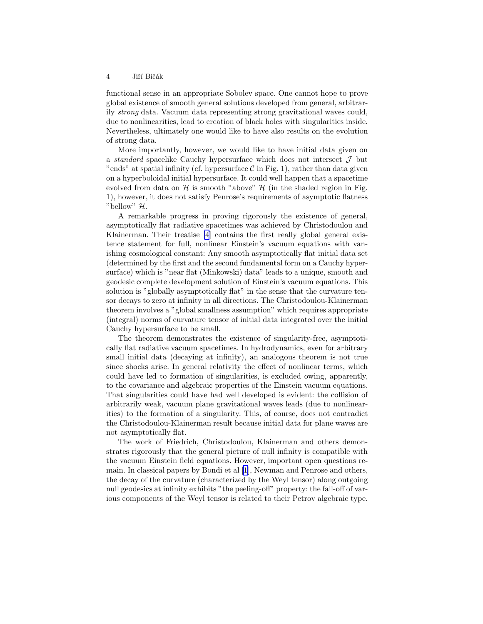#### 4 Jiří Bičák

functional sense in an appropriate Sobolev space. One cannot hope to prove global existence of smooth general solutions developed from general, arbitrarily strong data. Vacuum data representing strong gravitational waves could, due to nonlinearities, lead to creation of black holes with singularities inside. Nevertheless, ultimately one would like to have also results on the evolution of strong data.

More importantly, however, we would like to have initial data given on a *standard* spacelike Cauchy hypersurface which does not intersect  $\mathcal J$  but "ends" at spatial infinity (cf. hypersurface  $\mathcal C$  in Fig. 1), rather than data given on a hyperboloidal initial hypersurface. It could well happen that a spacetime evolved from data on  $H$  is smooth "above"  $H$  (in the shaded region in Fig. 1), however, it does not satisfy Penrose's requirements of asymptotic flatness "bellow" H.

A remarkable progress in proving rigorously the existence of general, asymptotically flat radiative spacetimes was achieved by Christodoulou and Klainerman. Their treatise [\[4](#page-11-0)] contains the first really global general existence statement for full, nonlinear Einstein's vacuum equations with vanishing cosmological constant: Any smooth asymptotically flat initial data set (determined by the first and the second fundamental form on a Cauchy hypersurface) which is "near flat (Minkowski) data" leads to a unique, smooth and geodesic complete development solution of Einstein's vacuum equations. This solution is "globally asymptotically flat" in the sense that the curvature tensor decays to zero at infinity in all directions. The Christodoulou-Klainerman theorem involves a "global smallness assumption" which requires appropriate (integral) norms of curvature tensor of initial data integrated over the initial Cauchy hypersurface to be small.

The theorem demonstrates the existence of singularity-free, asymptotically flat radiative vacuum spacetimes. In hydrodynamics, even for arbitrary small initial data (decaying at infinity), an analogous theorem is not true since shocks arise. In general relativity the effect of nonlinear terms, which could have led to formation of singularities, is excluded owing, apparently, to the covariance and algebraic properties of the Einstein vacuum equations. That singularities could have had well developed is evident: the collision of arbitrarily weak, vacuum plane gravitational waves leads (due to nonlinearities) to the formation of a singularity. This, of course, does not contradict the Christodoulou-Klainerman result because initial data for plane waves are not asymptotically flat.

The work of Friedrich, Christodoulou, Klainerman and others demonstrates rigorously that the general picture of null infinity is compatible with the vacuum Einstein field equations. However, important open questions remain. In classical papers by Bondi et al[[1](#page-10-0)], Newman and Penrose and others, the decay of the curvature (characterized by the Weyl tensor) along outgoing null geodesics at infinity exhibits "the peeling-off" property: the fall-off of various components of the Weyl tensor is related to their Petrov algebraic type.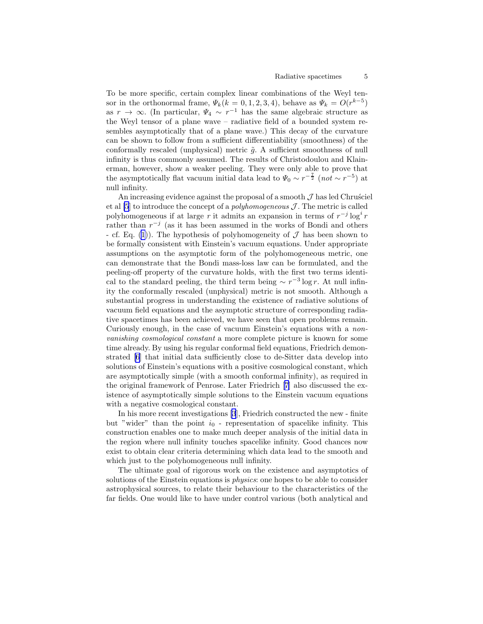To be more specific, certain complex linear combinations of the Weyl tensor in the orthonormal frame,  $\Psi_k(k=0,1,2,3,4)$ , behave as  $\Psi_k = O(r^{k-5})$ as  $r \to \infty$ . (In particular,  $\Psi_4 \sim r^{-1}$  has the same algebraic structure as the Weyl tensor of a plane wave – radiative field of a bounded system resembles asymptotically that of a plane wave.) This decay of the curvature can be shown to follow from a sufficient differentiability (smoothness) of the conformally rescaled (unphysical) metric  $\tilde{g}$ . A sufficient smoothness of null infinity is thus commonly assumed. The results of Christodoulou and Klainerman, however, show a weaker peeling. They were only able to prove that the asymptotically flat vacuum initial data lead to  $\Psi_0 \sim r^{-\frac{7}{2}}$  (not ~ r<sup>-5</sup>) at null infinity.

An increasing evidence against the proposal of a smooth  $\mathcal J$  has led Chrustiel et al  $[5]$  to introduce the concept of a *polyhomogeneous*  $\mathcal J$ . The metric is called polyhomogeneous if at large r it admits an expansion in terms of  $r^{-j} \log^i r$ rather than  $r^{-j}$  (as it has been assumed in the works of Bondi and others - cf. Eq. [\(1](#page-0-0))). The hypothesis of polyhomogeneity of  $\mathcal J$  has been shown to be formally consistent with Einstein's vacuum equations. Under appropriate assumptions on the asymptotic form of the polyhomogeneous metric, one can demonstrate that the Bondi mass-loss law can be formulated, and the peeling-off property of the curvature holds, with the first two terms identical to the standard peeling, the third term being  $\sim r^{-3} \log r$ . At null infinity the conformally rescaled (unphysical) metric is not smooth. Although a substantial progress in understanding the existence of radiative solutions of vacuum field equations and the asymptotic structure of corresponding radiative spacetimes has been achieved, we have seen that open problems remain. Curiously enough, in the case of vacuum Einstein's equations with a nonvanishing cosmological constant a more complete picture is known for some time already. By using his regular conformal field equations, Friedrich demonstrated [\[6](#page-11-0)] that initial data sufficiently close to de-Sitter data develop into solutions of Einstein's equations with a positive cosmological constant, which are asymptotically simple (with a smooth conformal infinity), as required in the original framework of Penrose. Later Friedrich [\[7\]](#page-11-0) also discussed the existence of asymptotically simple solutions to the Einstein vacuum equations with a negative cosmological constant.

In his more recent investigations [\[3](#page-11-0)], Friedrich constructed the new - finite but "wider" than the point  $i_0$  - representation of spacelike infinity. This construction enables one to make much deeper analysis of the initial data in the region where null infinity touches spacelike infinity. Good chances now exist to obtain clear criteria determining which data lead to the smooth and which just to the polyhomogeneous null infinity.

The ultimate goal of rigorous work on the existence and asymptotics of solutions of the Einstein equations is *physics*: one hopes to be able to consider astrophysical sources, to relate their behaviour to the characteristics of the far fields. One would like to have under control various (both analytical and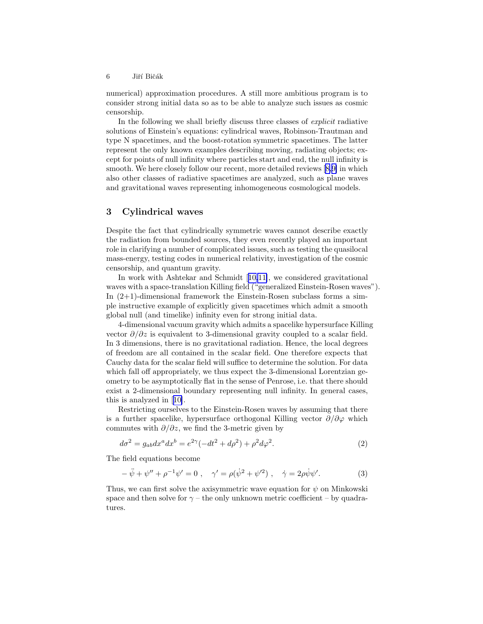numerical) approximation procedures. A still more ambitious program is to consider strong initial data so as to be able to analyze such issues as cosmic censorship.

In the following we shall briefly discuss three classes of explicit radiative solutions of Einstein's equations: cylindrical waves, Robinson-Trautman and type N spacetimes, and the boost-rotation symmetric spacetimes. The latter represent the only known examples describing moving, radiating objects; except for points of null infinity where particles start and end, the null infinity is smooth. We here closely follow our recent, more detailed reviews[[8,9\]](#page-11-0) in which also other classes of radiative spacetimes are analyzed, such as plane waves and gravitational waves representing inhomogeneous cosmological models.

## 3 Cylindrical waves

Despite the fact that cylindrically symmetric waves cannot describe exactly the radiation from bounded sources, they even recently played an important role in clarifying a number of complicated issues, such as testing the quasilocal mass-energy, testing codes in numerical relativity, investigation of the cosmic censorship, and quantum gravity.

In work with Ashtekar and Schmidt[[10,11\]](#page-11-0), we considered gravitational waves with a space-translation Killing field ("generalized Einstein-Rosen waves"). In  $(2+1)$ -dimensional framework the Einstein-Rosen subclass forms a simple instructive example of explicitly given spacetimes which admit a smooth global null (and timelike) infinity even for strong initial data.

4-dimensional vacuum gravity which admits a spacelike hypersurface Killing vector  $\partial/\partial z$  is equivalent to 3-dimensional gravity coupled to a scalar field. In 3 dimensions, there is no gravitational radiation. Hence, the local degrees of freedom are all contained in the scalar field. One therefore expects that Cauchy data for the scalar field will suffice to determine the solution. For data which fall off appropriately, we thus expect the 3-dimensional Lorentzian geometry to be asymptotically flat in the sense of Penrose, i.e. that there should exist a 2-dimensional boundary representing null infinity. In general cases, this is analyzed in[[10\]](#page-11-0).

Restricting ourselves to the Einstein-Rosen waves by assuming that there is a further spacelike, hypersurface orthogonal Killing vector  $\partial/\partial \varphi$  which commutes with  $\partial/\partial z$ , we find the 3-metric given by

$$
d\sigma^2 = g_{ab}dx^a dx^b = e^{2\gamma}(-dt^2 + d\rho^2) + \rho^2 d\varphi^2.
$$
 (2)

The field equations become

$$
-\ddot{\psi} + \psi'' + \rho^{-1}\psi' = 0 , \quad \gamma' = \rho(\dot{\psi}^2 + \psi'^2) , \quad \dot{\gamma} = 2\rho\dot{\psi}\psi'.
$$
 (3)

Thus, we can first solve the axisymmetric wave equation for  $\psi$  on Minkowski space and then solve for  $\gamma$  – the only unknown metric coefficient – by quadratures.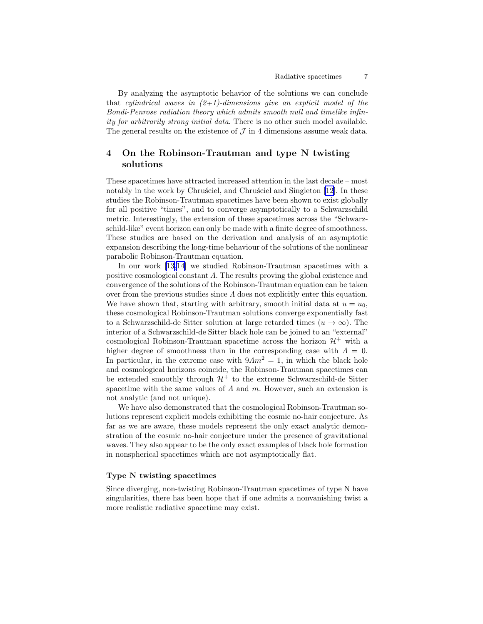By analyzing the asymptotic behavior of the solutions we can conclude that cylindrical waves in  $(2+1)$ -dimensions give an explicit model of the Bondi-Penrose radiation theory which admits smooth null and timelike infinity for arbitrarily strong initial data. There is no other such model available. The general results on the existence of  $\mathcal J$  in 4 dimensions assume weak data.

# 4 On the Robinson-Trautman and type N twisting solutions

These spacetimes have attracted increased attention in the last decade – most notably in the work by Chrusciel, and Chrusciel and Singleton [\[12\]](#page-11-0). In these studies the Robinson-Trautman spacetimes have been shown to exist globally for all positive "times", and to converge asymptotically to a Schwarzschild metric. Interestingly, the extension of these spacetimes across the "Schwarzschild-like" event horizon can only be made with a finite degree of smoothness. These studies are based on the derivation and analysis of an asymptotic expansion describing the long-time behaviour of the solutions of the nonlinear parabolic Robinson-Trautman equation.

In our work [\[13,14\]](#page-11-0) we studied Robinson-Trautman spacetimes with a positive cosmological constant Λ. The results proving the global existence and convergence of the solutions of the Robinson-Trautman equation can be taken over from the previous studies since  $\Lambda$  does not explicitly enter this equation. We have shown that, starting with arbitrary, smooth initial data at  $u = u_0$ , these cosmological Robinson-Trautman solutions converge exponentially fast to a Schwarzschild-de Sitter solution at large retarded times  $(u \to \infty)$ . The interior of a Schwarzschild-de Sitter black hole can be joined to an "external" cosmological Robinson-Trautman spacetime across the horizon  $\mathcal{H}^+$  with a higher degree of smoothness than in the corresponding case with  $\Lambda = 0$ . In particular, in the extreme case with  $9\Lambda m^2 = 1$ , in which the black hole and cosmological horizons coincide, the Robinson-Trautman spacetimes can be extended smoothly through  $\mathcal{H}^+$  to the extreme Schwarzschild-de Sitter spacetime with the same values of  $\Lambda$  and  $m$ . However, such an extension is not analytic (and not unique).

We have also demonstrated that the cosmological Robinson-Trautman solutions represent explicit models exhibiting the cosmic no-hair conjecture. As far as we are aware, these models represent the only exact analytic demonstration of the cosmic no-hair conjecture under the presence of gravitational waves. They also appear to be the only exact examples of black hole formation in nonspherical spacetimes which are not asymptotically flat.

#### Type N twisting spacetimes

Since diverging, non-twisting Robinson-Trautman spacetimes of type N have singularities, there has been hope that if one admits a nonvanishing twist a more realistic radiative spacetime may exist.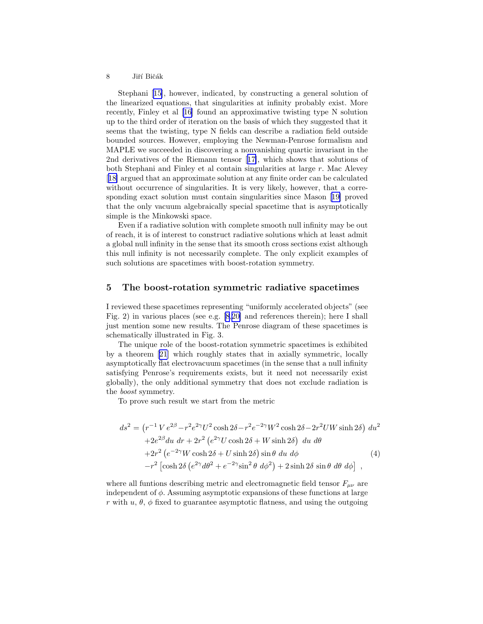#### <span id="page-7-0"></span>8 Jiří Bičák

Stephani[[15\]](#page-11-0), however, indicated, by constructing a general solution of the linearized equations, that singularities at infinity probably exist. More recently, Finley et al [\[16\]](#page-11-0) found an approximative twisting type N solution up to the third order of iteration on the basis of which they suggested that it seems that the twisting, type N fields can describe a radiation field outside bounded sources. However, employing the Newman-Penrose formalism and MAPLE we succeeded in discovering a nonvanishing quartic invariant in the 2nd derivatives of the Riemann tensor[[17\]](#page-11-0), which shows that solutions of both Stephani and Finley et al contain singularities at large r. Mac Alevey [[18\]](#page-11-0) argued that an approximate solution at any finite order can be calculated without occurrence of singularities. It is very likely, however, that a corresponding exact solution must contain singularities since Mason[[19\]](#page-11-0) proved that the only vacuum algebraically special spacetime that is asymptotically simple is the Minkowski space.

Even if a radiative solution with complete smooth null infinity may be out of reach, it is of interest to construct radiative solutions which at least admit a global null infinity in the sense that its smooth cross sections exist although this null infinity is not necessarily complete. The only explicit examples of such solutions are spacetimes with boost-rotation symmetry.

### 5 The boost-rotation symmetric radiative spacetimes

I reviewed these spacetimes representing "uniformly accelerated objects" (see Fig. 2) in various places (see e.g. [\[8](#page-11-0),[20\]](#page-11-0) and references therein); here I shall just mention some new results. The Penrose diagram of these spacetimes is schematically illustrated in Fig. 3.

The unique role of the boost-rotation symmetric spacetimes is exhibited by a theorem [\[21](#page-11-0)] which roughly states that in axially symmetric, locally asymptotically flat electrovacuum spacetimes (in the sense that a null infinity satisfying Penrose's requirements exists, but it need not necessarily exist globally), the only additional symmetry that does not exclude radiation is the boost symmetry.

To prove such result we start from the metric

$$
ds^{2} = (r^{-1} V e^{2\beta} - r^{2} e^{2\gamma} U^{2} \cosh 2\delta - r^{2} e^{-2\gamma} W^{2} \cosh 2\delta - 2r^{2} U W \sinh 2\delta) du^{2}
$$
  
+2e<sup>2\beta</sup> du dr + 2r<sup>2</sup> (e<sup>2\gamma</sup> U \cosh 2\delta + W \sinh 2\delta) du d\theta  
+2r<sup>2</sup> (e<sup>-2\gamma</sup> W \cosh 2\delta + U \sinh 2\delta) \sin \theta du d\phi (4)  
-r<sup>2</sup> [\cosh 2\delta (e<sup>2\gamma</sup> d\theta<sup>2</sup> + e<sup>-2\gamma</sup> \sin<sup>2</sup> \theta d\phi<sup>2</sup>) + 2 \sinh 2\delta \sin \theta d\theta d\phi],

where all funtions describing metric and electromagnetic field tensor  $F_{\mu\nu}$  are independent of  $\phi$ . Assuming asymptotic expansions of these functions at large r with  $u, \theta, \phi$  fixed to guarantee asymptotic flatness, and using the outgoing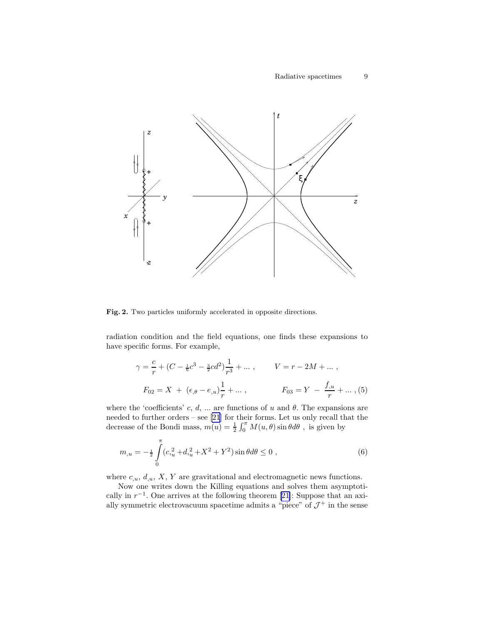<span id="page-8-0"></span>

Fig. 2. Two particles uniformly accelerated in opposite directions.

radiation condition and the field equations, one finds these expansions to have specific forms. For example,

$$
\gamma = \frac{c}{r} + (C - \frac{1}{6}c^3 - \frac{3}{2}cd^2)\frac{1}{r^3} + \dots, \qquad V = r - 2M + \dots,
$$
  

$$
F_{02} = X + (\epsilon_{,\theta} - \epsilon_{,u})\frac{1}{r} + \dots, \qquad F_{03} = Y - \frac{f_{,u}}{r} + \dots, (5)
$$

where the 'coefficients' c, d, ... are functions of u and  $\theta$ . The expansions are needed to further orders – see [\[21](#page-11-0)] for their forms. Let us only recall that the decrease of the Bondi mass,  $m(u) = \frac{1}{2} \int_0^{\pi} M(u, \theta) \sin \theta d\theta$ , is given by

$$
m_{,u} = -\frac{1}{2} \int_{0}^{\pi} (c_{,u}^{2} + d_{,u}^{2} + X^{2} + Y^{2}) \sin \theta d\theta \le 0 , \qquad (6)
$$

where  $c_{u}$ ,  $d_{u}$ ,  $X$ ,  $Y$  are gravitational and electromagnetic news functions.

Now one writes down the Killing equations and solves them asymptoticallyin  $r^{-1}$ . One arrives at the following theorem [[21\]](#page-11-0): Suppose that an axially symmetric electrovacuum spacetime admits a "piece" of  $\mathcal{J}^+$  in the sense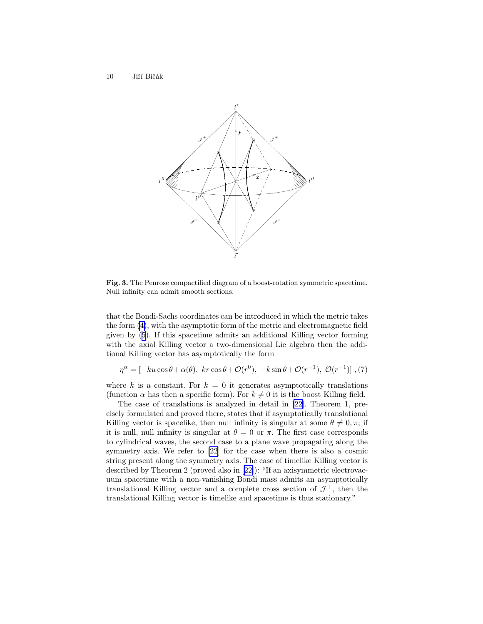

Fig. 3. The Penrose compactified diagram of a boost-rotation symmetric spacetime. Null infinity can admit smooth sections.

that the Bondi-Sachs coordinates can be introduced in which the metric takes the form [\(4\)](#page-7-0), with the asymptotic form of the metric and electromagnetic field given by([5\)](#page-8-0). If this spacetime admits an additional Killing vector forming with the axial Killing vector a two-dimensional Lie algebra then the additional Killing vector has asymptotically the form

$$
\eta^{\alpha} = \left[ -ku\cos\theta + \alpha(\theta), \ kr\cos\theta + \mathcal{O}(r^{0}), -k\sin\theta + \mathcal{O}(r^{-1}), \ \mathcal{O}(r^{-1}) \right], (7)
$$

where k is a constant. For  $k = 0$  it generates asymptotically translations (function  $\alpha$  has then a specific form). For  $k \neq 0$  it is the boost Killing field.

The case of translations is analyzed in detail in [\[22\]](#page-11-0). Theorem 1, precisely formulated and proved there, states that if asymptotically translational Killing vector is spacelike, then null infinity is singular at some  $\theta \neq 0, \pi$ ; if it is null, null infinity is singular at  $\theta = 0$  or  $\pi$ . The first case corresponds to cylindrical waves, the second case to a plane wave propagating along the symmetry axis. We refer to [\[22](#page-11-0)] for the case when there is also a cosmic string present along the symmetry axis. The case of timelike Killing vector is described by Theorem 2 (proved also in[[22\]](#page-11-0)): "If an axisymmetric electrovacuum spacetime with a non-vanishing Bondi mass admits an asymptotically translational Killing vector and a complete cross section of  $\mathcal{J}^+$ , then the translational Killing vector is timelike and spacetime is thus stationary."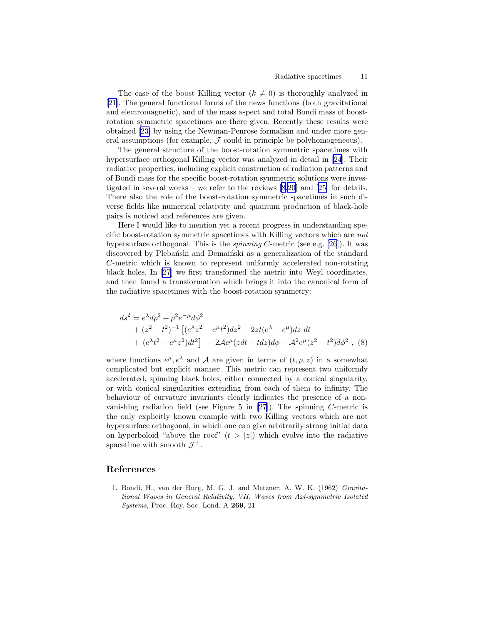<span id="page-10-0"></span>The case of the boost Killing vector  $(k \neq 0)$  is thoroughly analyzed in [[21\]](#page-11-0). The general functional forms of the news functions (both gravitational and electromagnetic), and of the mass aspect and total Bondi mass of boostrotation symmetric spacetimes are there given. Recently these results were obtained [\[23\]](#page-12-0) by using the Newman-Penrose formalism and under more general assumptions (for example,  $J$  could in principle be polyhomogeneous).

The general structure of the boost-rotation symmetric spacetimes with hypersurface orthogonal Killing vector was analyzed in detail in [\[24](#page-12-0)]. Their radiative properties, including explicit construction of radiation patterns and of Bondi mass for the specific boost-rotation symmetric solutions were investigated in several works – we refer to the reviews [\[8](#page-11-0),[20\]](#page-11-0) and[[25\]](#page-12-0) for details. There also the role of the boost-rotation symmetric spacetimes in such diverse fields like numerical relativity and quantum production of black-hole pairs is noticed and references are given.

Here I would like to mention yet a recent progress in understanding specific boost-rotation symmetric spacetimes with Killing vectors which are not hypersurface orthogonal. This is the *spinning C*-metric (see e.g. [\[26](#page-12-0)]). It was discovered by Plebański and Demainski as a generalization of the standard C-metric which is known to represent uniformly accelerated non-rotating black holes. In [\[27](#page-12-0)] we first transformed the metric into Weyl coordinates, and then found a transformation which brings it into the canonical form of the radiative spacetimes with the boost-rotation symmetry:

$$
ds^{2} = e^{\lambda} d\rho^{2} + \rho^{2} e^{-\mu} d\phi^{2}
$$
  
+  $(z^{2} - t^{2})^{-1} \left[ (e^{\lambda} z^{2} - e^{\mu} t^{2}) dz^{2} - 2zt (e^{\lambda} - e^{\mu}) dz dt$   
+  $(e^{\lambda} t^{2} - e^{\mu} z^{2}) dt^{2} \right] - 2A e^{\mu} (z dt - t dz) d\phi - A^{2} e^{\mu} (z^{2} - t^{2}) d\phi^{2}$ , (8)

where functions  $e^{\mu}, e^{\lambda}$  and A are given in terms of  $(t, \rho, z)$  in a somewhat complicated but explicit manner. This metric can represent two uniformly accelerated, spinning black holes, either connected by a conical singularity, or with conical singularities extending from each of them to infinity. The behaviour of curvature invariants clearly indicates the presence of a nonvanishing radiation field (see Figure 5 in  $[27]$ ). The spinning C-metric is the only explicitly known example with two Killing vectors which are not hypersurface orthogonal, in which one can give arbitrarily strong initial data on hyperboloid "above the roof"  $(t > |z|)$  which evolve into the radiative spacetime with smooth  $\mathcal{J}^+$ .

#### References

1. Bondi, H., van der Burg, M. G. J. and Metzner, A. W. K. (1962) *Gravitational Waves in General Relativity. VII. Waves from Axi-symmetric Isolated Systems*, Proc. Roy. Soc. Lond. A 269, 21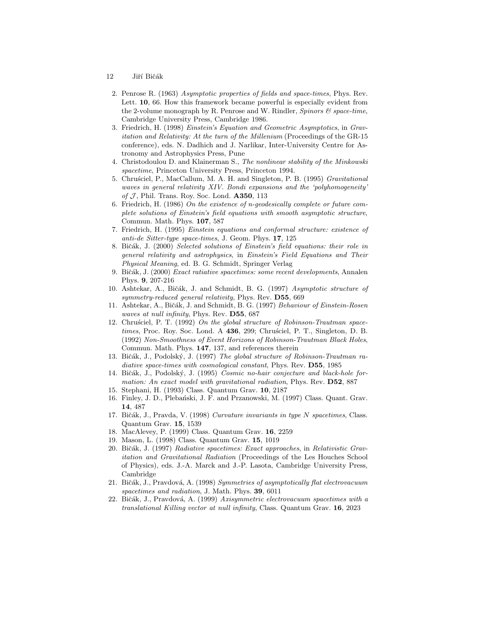- <span id="page-11-0"></span>12 Jiří Bičák
	- 2. Penrose R. (1963) *Asymptotic properties of fields and space-times*, Phys. Rev. Lett. **10**, 66. How this framework became powerful is especially evident from the 2-volume monograph by R. Penrose and W. Rindler, *Spinors & space-time*, Cambridge University Press, Cambridge 1986.
	- 3. Friedrich, H. (1998) *Einstein's Equation and Geometric Asymptotics*, in *Gravitation and Relativity: At the turn of the Millenium* (Proceedings of the GR-15 conference), eds. N. Dadhich and J. Narlikar, Inter-University Centre for Astronomy and Astrophysics Press, Pune
	- 4. Christodoulou D. and Klainerman S., *The nonlinear stability of the Minkowski spacetime*, Princeton University Press, Princeton 1994.
	- 5. Chru´sciel, P., MacCallum, M. A. H. and Singleton, P. B. (1995) *Gravitational waves in general relativity XIV. Bondi expansions and the 'polyhomogeneity'* of J, Phil. Trans. Roy. Soc. Lond. **A350**, 113
	- 6. Friedrich, H. (1986) *On the existence of n-geodesically complete or future complete solutions of Einstein's field equations with smooth asymptotic structure*, Commun. Math. Phys. 107, 587
	- 7. Friedrich, H. (1995) *Einstein equations and conformal structure: existence of anti-de Sitter-type space-times*, J. Geom. Phys. 17, 125
	- 8. Bičák, J. (2000) *Selected solutions of Einstein's field equations: their role in general relativity and astrophysics*, in *Einstein's Field Equations and Their Physical Meaning*, ed. B. G. Schmidt, Springer Verlag
	- 9. Biˇc´ak, J. (2000) *Exact ratiative spacetimes: some recent developments*, Annalen Phys. 9, 207-216
- 10. Ashtekar, A., Bičák, J. and Schmidt, B. G. (1997) *Asymptotic structure of symmetry-reduced general relativity*, Phys. Rev. D55, 669
- 11. Ashtekar, A., Biˇc´ak, J. and Schmidt, B. G. (1997) *Behaviour of Einstein-Rosen waves at null infinity*, Phys. Rev. D55, 687
- 12. Chrus*ciel*, P. T. (1992) On the global structure of Robinson-Trautman space*times*, Proc. Roy. Soc. Lond. A 436, 299; Chrusciel, P. T., Singleton, D. B. (1992) *Non-Smoothness of Event Horizons of Robinson-Trautman Black Holes*, Commun. Math. Phys. 147, 137, and references therein
- 13. Bičák, J., Podolský, J. (1997) *The global structure of Robinson-Trautman radiative space-times with cosmological constant*, Phys. Rev. D55, 1985
- 14. Bičák, J., Podolský, J. (1995) *Cosmic no-hair conjecture and black-hole formation: An exact model with gravitational radiation*, Phys. Rev. D52, 887
- 15. Stephani, H. (1993) Class. Quantum Grav. 10, 2187
- 16. Finley, J. D., Plebański, J. F. and Przanowski, M. (1997) Class. Quant. Grav. 14, 487
- 17. Bičák, J., Pravda, V. (1998) *Curvature invariants in type N spacetimes*, Class. Quantum Grav. 15, 1539
- 18. MacAlevey, P. (1999) Class. Quantum Grav. 16, 2259
- 19. Mason, L. (1998) Class. Quantum Grav. 15, 1019
- 20. Bičák, J. (1997) *Radiative spacetimes: Exact approaches*, in *Relativistic Gravitation and Gravitational Radiation* (Proceedings of the Les Houches School of Physics), eds. J.-A. Marck and J.-P. Lasota, Cambridge University Press, Cambridge
- 21. Biˇc´ak, J., Pravdov´a, A. (1998) *Symmetries of asymptotically flat electrovacuum spacetimes and radiation*, J. Math. Phys. 39, 6011
- 22. Biˇc´ak, J., Pravdov´a, A. (1999) *Axisymmetric electrovacuum spacetimes with a translational Killing vector at null infinity*, Class. Quantum Grav. 16, 2023